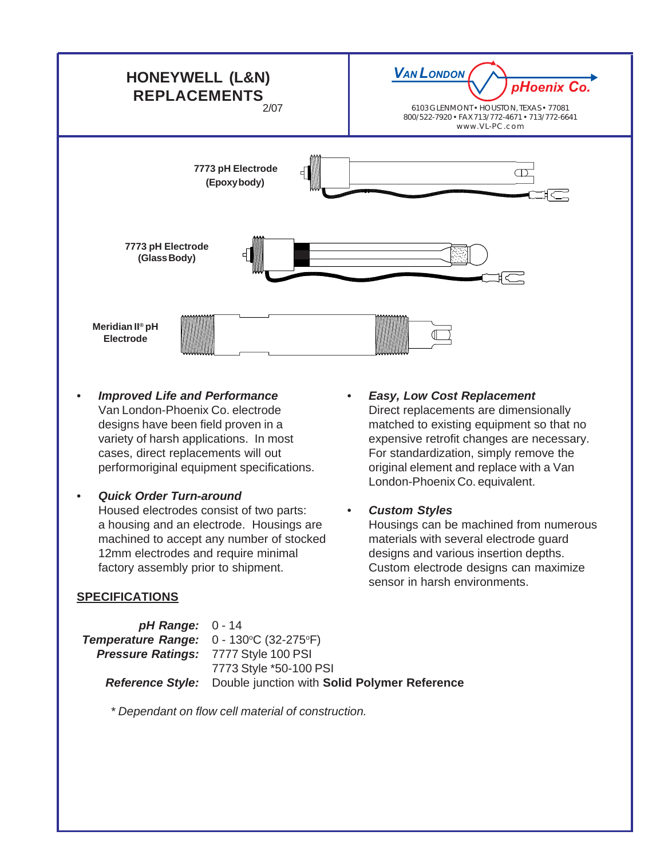

- *Improved Life and Performance* Van London-Phoenix Co. electrode designs have been field proven in a variety of harsh applications. In most cases, direct replacements will out performoriginal equipment specifications.
- *Quick Order Turn-around* Housed electrodes consist of two parts: a housing and an electrode. Housings are machined to accept any number of stocked 12mm electrodes and require minimal factory assembly prior to shipment.

## **SPECIFICATIONS**

- *Easy, Low Cost Replacement* Direct replacements are dimensionally matched to existing equipment so that no expensive retrofit changes are necessary. For standardization, simply remove the original element and replace with a Van London-Phoenix Co. equivalent.
- *Custom Styles*

Housings can be machined from numerous materials with several electrode guard designs and various insertion depths. Custom electrode designs can maximize sensor in harsh environments.

| $pH$ Range: $0 - 14$                                    |                                                                      |
|---------------------------------------------------------|----------------------------------------------------------------------|
| <b>Temperature Range:</b> $0 - 130^{\circ}C$ (32-275°F) |                                                                      |
| <b>Pressure Ratings: 7777 Style 100 PSI</b>             |                                                                      |
|                                                         | 7773 Style *50-100 PSI                                               |
|                                                         | <b>Reference Style:</b> Double junction with Solid Polymer Reference |

*\* Dependant on flow cell material of construction.*